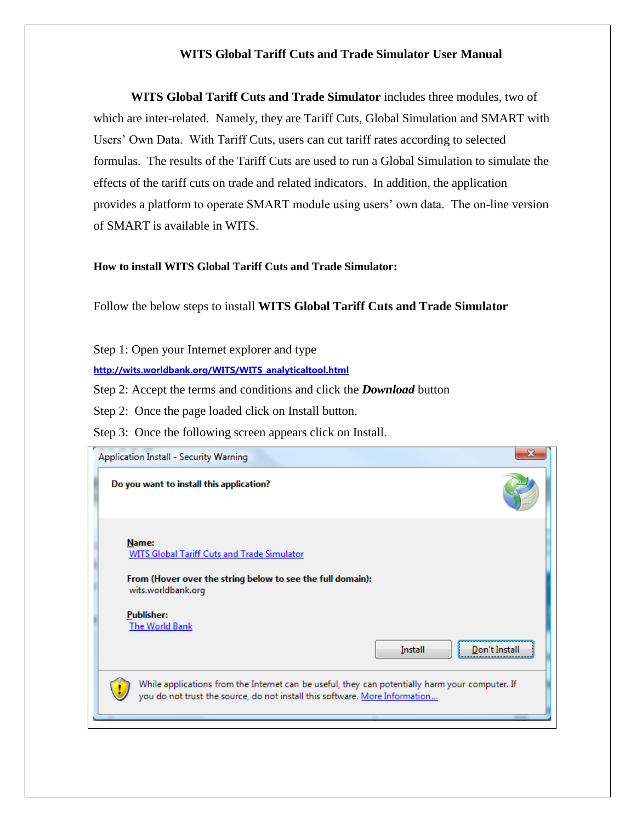### **WITS Global Tariff Cuts and Trade Simulator User Manual**

**WITS Global Tariff Cuts and Trade Simulator** includes three modules, two of which are inter-related. Namely, they are Tariff Cuts, Global Simulation and SMART with Users' Own Data. With Tariff Cuts, users can cut tariff rates according to selected formulas. The results of the Tariff Cuts are used to run a Global Simulation to simulate the effects of the tariff cuts on trade and related indicators. In addition, the application provides a platform to operate SMART module using users' own data. The on-line version of SMART is available in WITS.

#### **How to install WITS Global Tariff Cuts and Trade Simulator:**

Follow the below steps to install **WITS Global Tariff Cuts and Trade Simulator**

Step 1: Open your Internet explorer and type

**[http://wits.worldbank.org/WITS/WITS\\_analyticaltool.html](http://wits.worldbank.org/WITS/WITS_analyticaltool.html)**

Step 2: Accept the terms and conditions and click the *Download* button

Step 2: Once the page loaded click on Install button.

Step 3: Once the following screen appears click on Install.

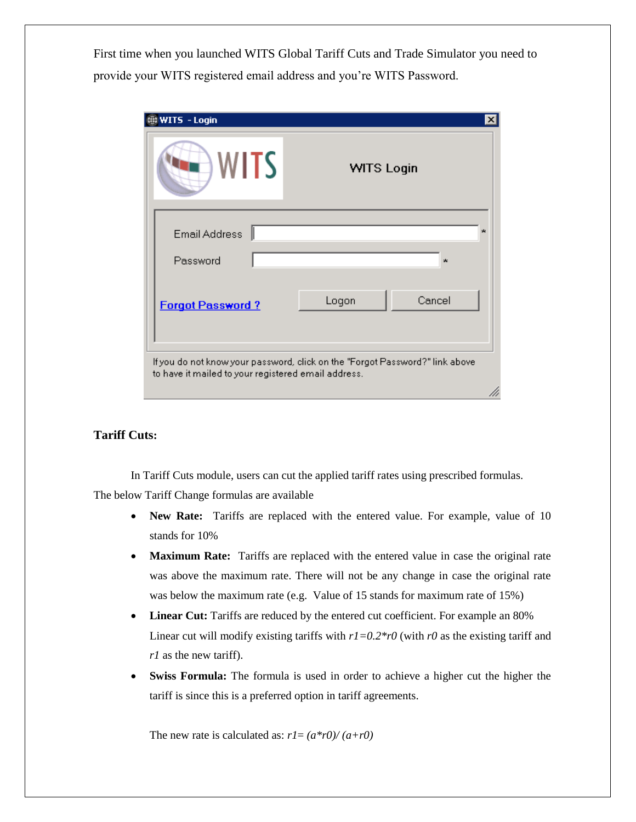First time when you launched WITS Global Tariff Cuts and Trade Simulator you need to provide your WITS registered email address and you're WITS Password.

| WITS                             | <b>WITS Login</b> |
|----------------------------------|-------------------|
| <b>Email Address</b><br>Password | ×.<br>$\star$     |
| <b>Forgot Password?</b>          | Cancel<br>Logon   |

#### **Tariff Cuts:**

In Tariff Cuts module, users can cut the applied tariff rates using prescribed formulas. The below Tariff Change formulas are available

- **New Rate:** Tariffs are replaced with the entered value. For example, value of 10 stands for 10%
- **Maximum Rate:** Tariffs are replaced with the entered value in case the original rate was above the maximum rate. There will not be any change in case the original rate was below the maximum rate (e.g. Value of 15 stands for maximum rate of 15%)
- **Linear Cut:** Tariffs are reduced by the entered cut coefficient. For example an 80% Linear cut will modify existing tariffs with  $r = 0.2 \cdot r0$  (with *r0* as the existing tariff and *r1* as the new tariff).
- **Swiss Formula:** The formula is used in order to achieve a higher cut the higher the tariff is since this is a preferred option in tariff agreements.

The new rate is calculated as:  $r = (a * r0)/(a + r0)$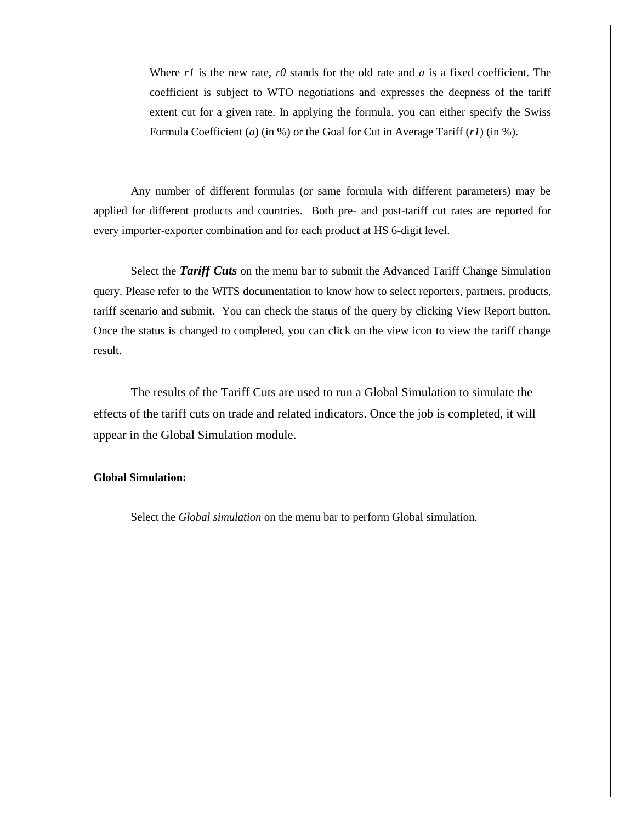Where *r1* is the new rate, *r0* stands for the old rate and *a* is a fixed coefficient. The coefficient is subject to WTO negotiations and expresses the deepness of the tariff extent cut for a given rate. In applying the formula, you can either specify the Swiss Formula Coefficient (*a*) (in %) or the Goal for Cut in Average Tariff (*r1*) (in %).

Any number of different formulas (or same formula with different parameters) may be applied for different products and countries. Both pre- and post-tariff cut rates are reported for every importer-exporter combination and for each product at HS 6-digit level.

Select the *Tariff Cuts* on the menu bar to submit the Advanced Tariff Change Simulation query. Please refer to the WITS documentation to know how to select reporters, partners, products, tariff scenario and submit. You can check the status of the query by clicking View Report button. Once the status is changed to completed, you can click on the view icon to view the tariff change result.

The results of the Tariff Cuts are used to run a Global Simulation to simulate the effects of the tariff cuts on trade and related indicators. Once the job is completed, it will appear in the Global Simulation module.

#### **Global Simulation:**

Select the *Global simulation* on the menu bar to perform Global simulation.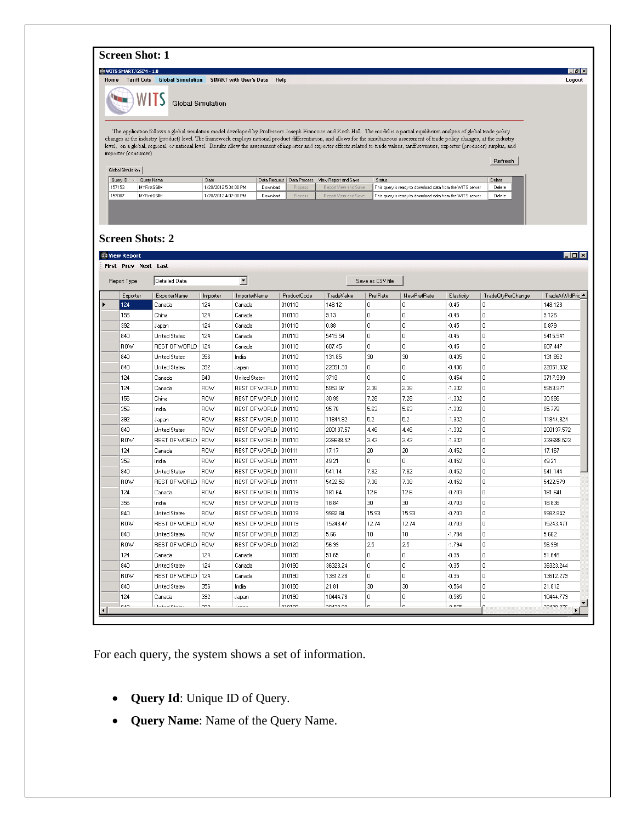### **Screen Shot: 1**

**@WITSSMART/GSIM - 1.0**<br>Home Tarif<mark>f Cuts -</mark> Global Simulation - SMART with User's Data - Help

WITS Global Simulation  $\blacksquare$ 

The application follows a global simulation model developed by Professors Joseph Francoise and Keith Hall. The model is a partial equilibrium analysis of global trade policy changes at the industry (product) level. The framework employs national product differentiation, and allows for the simultaneous assessment of trade policy changes, at the industry level, on a global, regional, or national  $imputer (cosumer)$ 

| Query ID | Query Name         | Date                 |          |                | Data Request   Data Process   View Report and Save | Status                                                    | Delete |
|----------|--------------------|----------------------|----------|----------------|----------------------------------------------------|-----------------------------------------------------------|--------|
| 157153   | <b>MYFirstGSIM</b> | 1/20/2012 5:34:00 PM | Download | Process        | Report View and Save                               | This query is ready to download data from the WITS server | Delete |
| 157087   | <b>MYFirstGSIM</b> | 1/20/2012 4:07:00 PM | Download | <b>Process</b> | Report View and Save                               | This query is ready to download data from the WITS server | Delete |

#### **Screen Shots: 2**

| Report Type | Detailed Data        |             | $\vert \cdot \vert$    |             | Save as CSV file |                  |                  |            |                   |                  |
|-------------|----------------------|-------------|------------------------|-------------|------------------|------------------|------------------|------------|-------------------|------------------|
| Exporter    | <b>ExporterName</b>  | Importer    | ImporterName           | ProductCode | TradeValue       | PrefRate         | NewPrefRate      | Elasticity | TradeQtyPerChange | TradeAtWldPric ▲ |
| 124         | Canada               | 124         | Canada                 | 010110      | 148.12           | $\mathbf 0$      | 0                | $-0.45$    | 0                 | 148.123          |
| 156         | China                | 124         | Canada                 | 010110      | 9.13             | $\mathbf 0$      | 0                | $-0.45$    | 0                 | 9.126            |
| 392         | Japan                | 124         | Canada                 | 010110      | 0.88             | $\mathbf{0}$     | 0                | $-0.45$    | $\mathbf{0}$      | 0.879            |
| 840         | <b>United States</b> | 124         | Canada                 | 010110      | 5415.54          | $\overline{0}$   | 0                | $-0.45$    | 0                 | 5415.541         |
| ROW         | REST OF WORLD        | 124         | Canada                 | 010110      | 607.45           | $\mathbf{0}$     | 0                | $-0.45$    | 0                 | 607.447          |
| 840         | <b>United States</b> | 356         | India                  | 010110      | 131.85           | 30               | 30               | $-0.435$   | 0                 | 131.852          |
| 840         | United States        | 392         | Japan                  | 010110      | 22051.33         | $\mathbf{0}$     | 0                | $-0.436$   | 0                 | 22051.332        |
| 124         | Canada               | 840         | <b>United States</b>   | 010110      | 3718             | $\mathbf{0}$     | 0                | $-0.454$   | 0                 | 3717.999         |
| 124         | Canada               | <b>ROW</b>  | REST OF WORLD 010110   |             | 5953.97          | 2.38             | 2.38             | $-1.332$   | 0                 | 5953.971         |
| 156         | China                | <b>ROW</b>  | REST OF WORLD 010110   |             | 30.99            | 7.28             | 7.28             | $-1.332$   | 0                 | 30.986           |
| 356         | India                | <b>ROW</b>  | REST OF WORLD   010110 |             | 95.78            | 5.63             | 5.63             | $-1.332$   | 0                 | 95.778           |
| 392         | Japan                | <b>ROW</b>  | REST OF WORLD 010110   |             | 11844.82         | 5.2              | 5.2              | $-1.332$   | 0                 | 11844.824        |
| 840         | United States        | <b>ROW</b>  | REST OF WORLD 010110   |             | 200137.57        | 4.46             | 4.46             | $-1.332$   | $\mathbf 0$       | 200137.572       |
| <b>ROW</b>  | REST OF WORLD        | ROW         | REST OF WORLD   010110 |             | 339688.52        | 3.42             | 3.42             | $-1.332$   | 0                 | 339688.523       |
| 124         | Canada               | <b>ROW</b>  | REST OF WORLD   010111 |             | 17.17            | 20               | 20               | $-0.452$   | 0                 | 17.167           |
| 356         | India                | <b>ROW</b>  | REST OF WORLD 010111   |             | 49.21            | $\mathbf{0}$     | 0                | $-0.452$   | 0                 | 49.21            |
| 840         | <b>United States</b> | <b>ROW</b>  | REST OF WORLD 010111   |             | 541.14           | 7.82             | 7.82             | $-0.452$   | 0                 | 541.144          |
| <b>ROW</b>  | REST OF WORLD        | ROW         | REST OF WORLD   010111 |             | 5422.58          | 7.38             | 7.38             | $-0.452$   | 0                 | 5422.579         |
| 124         | Canada               | ROW         | REST OF WORLD 010119   |             | 181.64           | 12.6             | 12.6             | $-0.703$   | $\mathbf{0}$      | 181.641          |
| 356         | India                | <b>ROW</b>  | REST OF WORLD 010119   |             | 18.84            | 30               | 30               | $-0.703$   | 0                 | 18.836           |
| 840         | <b>United States</b> | <b>ROW</b>  | REST OF WORLD 010119   |             | 9982.84          | 15.93            | 15.93            | $-0.703$   | 0                 | 9982.842         |
| <b>ROW</b>  | REST OF WORLD        | <b>IROW</b> | REST OF WORLD 010119   |             | 15243.47         | 12.74            | 12.74            | $-0.703$   | 0                 | 15243.471        |
| 840         | <b>United States</b> | <b>ROW</b>  | REST OF WORLD   010120 |             | 5.66             | 10 <sub>10</sub> | 10 <sup>10</sup> | $-1.794$   | $\mathbf 0$       | 5.662            |
| ROW         | REST OF WORLD        | ROW         | REST OF WORLD 010120   |             | 56.99            | 2.5              | 2.5              | $-1.794$   | $\mathbf{0}$      | 56.991           |
| 124         | Canada               | 124         | Canada                 | 010190      | 51.65            | $\mathbf 0$      | 0                | $-0.35$    | $\overline{0}$    | 51.646           |
| 840         | <b>United States</b> | 124         | Canada                 | 010190      | 36323.24         | $\Omega$         | 0                | $-0.35$    | 0                 | 36323.244        |
| ROW         | REST OF WORLD        | 124         | Canada                 | 010190      | 13612.28         | $\Omega$         | 0                | $-0.35$    | 0                 | 13612.279        |
| 840         | <b>United States</b> | 356         | India                  | 010190      | 21.81            | 30               | 30               | $-0.564$   | 0                 | 21.812           |
| 124         | Canada               | 392         | Japan                  | 010190      | 10444.78         | 0                | 0                | $-0.565$   | 0                 | 10444.779        |

For each query, the system shows a set of information.

- **Query Id**: Unique ID of Query.
- **Query Name**: Name of the Query Name.

 $H<sub>2</sub>$ Logout

 $Retresh$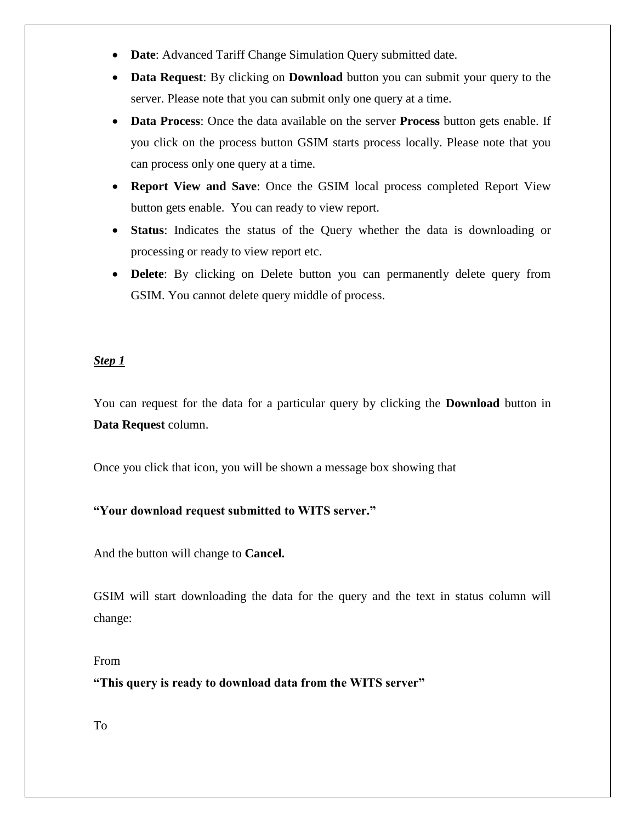- **Date**: Advanced Tariff Change Simulation Query submitted date.
- **Data Request**: By clicking on **Download** button you can submit your query to the server. Please note that you can submit only one query at a time.
- **Data Process**: Once the data available on the server **Process** button gets enable. If you click on the process button GSIM starts process locally. Please note that you can process only one query at a time.
- **Report View and Save**: Once the GSIM local process completed Report View button gets enable. You can ready to view report.
- **Status**: Indicates the status of the Query whether the data is downloading or processing or ready to view report etc.
- **Delete**: By clicking on Delete button you can permanently delete query from GSIM. You cannot delete query middle of process.

# *Step 1*

You can request for the data for a particular query by clicking the **Download** button in **Data Request** column.

Once you click that icon, you will be shown a message box showing that

## **"Your download request submitted to WITS server."**

And the button will change to **Cancel.** 

GSIM will start downloading the data for the query and the text in status column will change:

#### From

**"This query is ready to download data from the WITS server"** 

To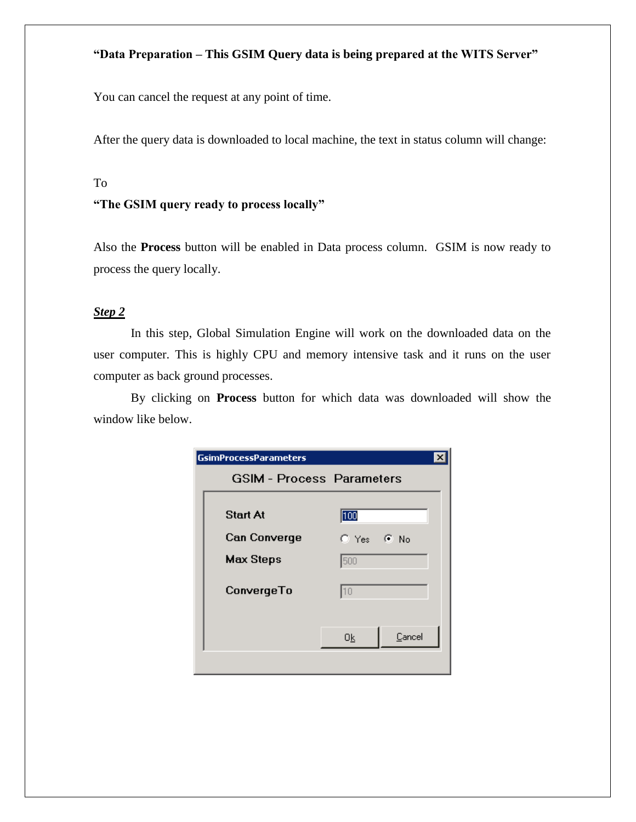### **"Data Preparation – This GSIM Query data is being prepared at the WITS Server"**

You can cancel the request at any point of time.

After the query data is downloaded to local machine, the text in status column will change:

#### To

#### **"The GSIM query ready to process locally"**

Also the **Process** button will be enabled in Data process column. GSIM is now ready to process the query locally.

### *Step 2*

In this step, Global Simulation Engine will work on the downloaded data on the user computer. This is highly CPU and memory intensive task and it runs on the user computer as back ground processes.

By clicking on **Process** button for which data was downloaded will show the window like below.

| <b>GsimProcessParameters</b>     |                |
|----------------------------------|----------------|
| <b>GSIM - Process Parameters</b> |                |
| <b>Start At</b>                  | 100            |
| <b>Can Converge</b>              | $C$ Yes $C$ No |
| <b>Max Steps</b>                 | 500            |
| ConvergeTo                       | 10             |
|                                  | Cancel<br>0k   |
|                                  |                |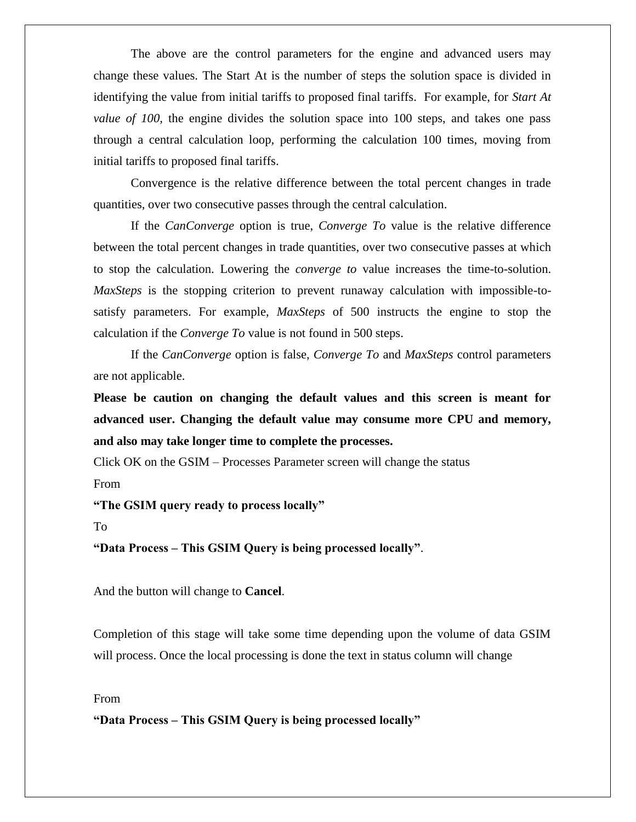The above are the control parameters for the engine and advanced users may change these values. The Start At is the number of steps the solution space is divided in identifying the value from initial tariffs to proposed final tariffs. For example, for *Start At value of 100*, the engine divides the solution space into 100 steps, and takes one pass through a central calculation loop, performing the calculation 100 times, moving from initial tariffs to proposed final tariffs.

Convergence is the relative difference between the total percent changes in trade quantities, over two consecutive passes through the central calculation.

If the *CanConverge* option is true, *Converge To* value is the relative difference between the total percent changes in trade quantities, over two consecutive passes at which to stop the calculation. Lowering the *converge to* value increases the time-to-solution. *MaxSteps* is the stopping criterion to prevent runaway calculation with impossible-tosatisfy parameters. For example, *MaxSteps* of 500 instructs the engine to stop the calculation if the *Converge To* value is not found in 500 steps.

If the *CanConverge* option is false, *Converge To* and *MaxSteps* control parameters are not applicable.

**Please be caution on changing the default values and this screen is meant for advanced user. Changing the default value may consume more CPU and memory, and also may take longer time to complete the processes.** 

Click OK on the GSIM – Processes Parameter screen will change the status

From

**"The GSIM query ready to process locally"**

To

**"Data Process – This GSIM Query is being processed locally"**.

And the button will change to **Cancel**.

Completion of this stage will take some time depending upon the volume of data GSIM will process. Once the local processing is done the text in status column will change

From

**"Data Process – This GSIM Query is being processed locally"**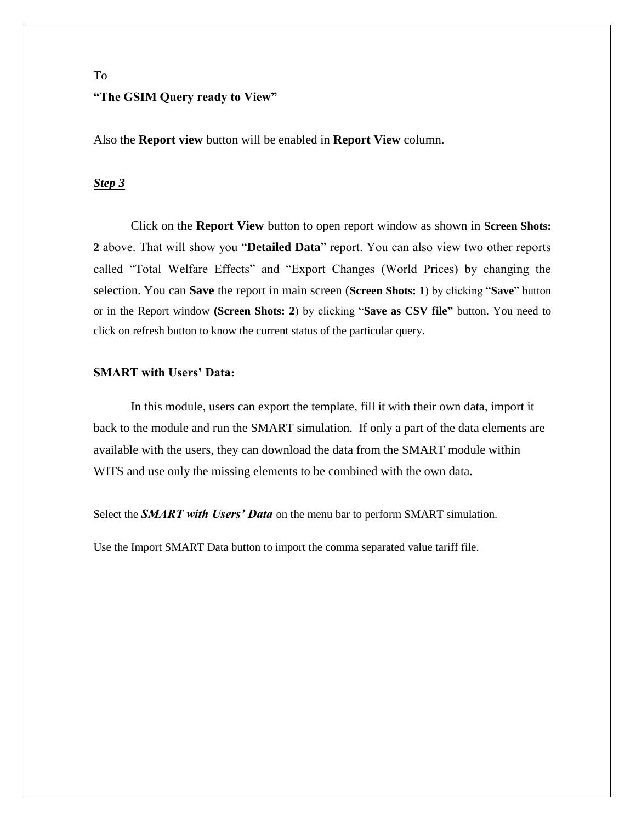# To **"The GSIM Query ready to View"**

Also the **Report view** button will be enabled in **Report View** column.

#### *Step 3*

Click on the **Report View** button to open report window as shown in **Screen Shots: 2** above. That will show you "**Detailed Data**" report. You can also view two other reports called "Total Welfare Effects" and "Export Changes (World Prices) by changing the selection. You can **Save** the report in main screen (**Screen Shots: 1**) by clicking "**Save**" button or in the Report window **(Screen Shots: 2**) by clicking "**Save as CSV file"** button. You need to click on refresh button to know the current status of the particular query.

#### **SMART with Users' Data:**

In this module, users can export the template, fill it with their own data, import it back to the module and run the SMART simulation. If only a part of the data elements are available with the users, they can download the data from the SMART module within WITS and use only the missing elements to be combined with the own data.

Select the *SMART with Users' Data* on the menu bar to perform SMART simulation.

Use the Import SMART Data button to import the comma separated value tariff file.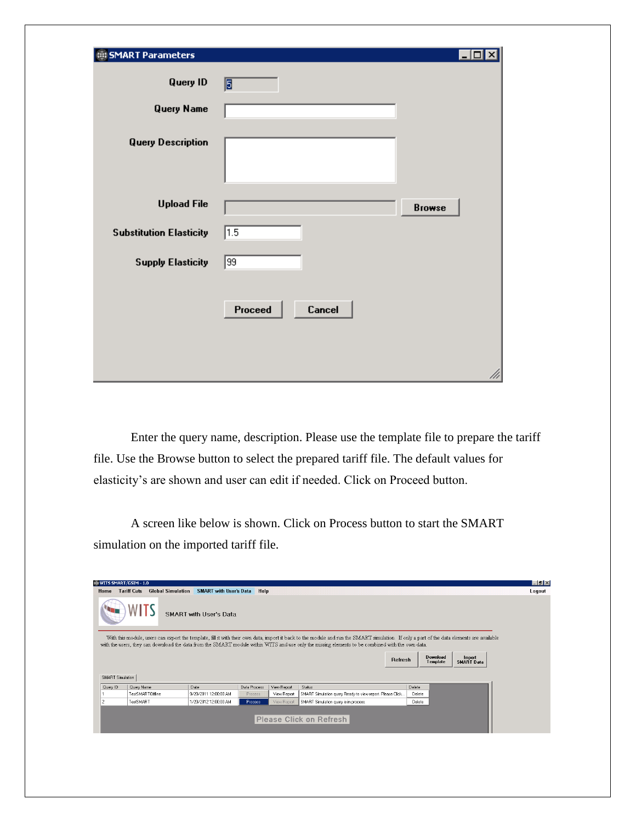| SMART Parameters               |                   | -10           |
|--------------------------------|-------------------|---------------|
| <b>Query ID</b>                | 圓                 |               |
| <b>Query Name</b>              |                   |               |
| <b>Query Description</b>       |                   |               |
| <b>Upload File</b>             |                   | <b>Browse</b> |
| <b>Substitution Elasticity</b> | 1.5               |               |
| <b>Supply Elasticity</b>       | 99                |               |
|                                | Proceed<br>Cancel | ///           |

Enter the query name, description. Please use the template file to prepare the tariff file. Use the Browse button to select the prepared tariff file. The default values for elasticity's are shown and user can edit if needed. Click on Proceed button.

A screen like below is shown. Click on Process button to start the SMART simulation on the imported tariff file.

|                              | @ WITS SMART/GSIM - 1.0 |                          |                               |              |             |                                                                                                                                                                                                                                                                                                                                                |         |        |                      |                             | $ P$ $\times$ |
|------------------------------|-------------------------|--------------------------|-------------------------------|--------------|-------------|------------------------------------------------------------------------------------------------------------------------------------------------------------------------------------------------------------------------------------------------------------------------------------------------------------------------------------------------|---------|--------|----------------------|-----------------------------|---------------|
| Home                         | <b>Tariff Cuts</b>      | <b>Global Simulation</b> | <b>SMART with User's Data</b> | Help         |             |                                                                                                                                                                                                                                                                                                                                                |         |        |                      |                             | Logout        |
|                              |                         |                          | <b>SMART with User's Data</b> |              |             |                                                                                                                                                                                                                                                                                                                                                |         |        |                      |                             |               |
|                              |                         |                          |                               |              |             | With this module, users can export the template, fill it with their own data, import it back to the module and run the SMART simulation. If only a part of the data elements are available<br>with the users, they can download the data from the SMART module within WITS and use only the missing elements to be combined with the own data. |         |        |                      |                             |               |
|                              |                         |                          |                               |              |             |                                                                                                                                                                                                                                                                                                                                                |         |        |                      |                             |               |
|                              |                         |                          |                               |              |             |                                                                                                                                                                                                                                                                                                                                                |         |        |                      |                             |               |
|                              |                         |                          |                               |              |             |                                                                                                                                                                                                                                                                                                                                                | Refresh |        | Download<br>Template | Import<br><b>SMART Data</b> |               |
|                              |                         |                          |                               |              |             |                                                                                                                                                                                                                                                                                                                                                |         |        |                      |                             |               |
|                              |                         |                          |                               |              |             |                                                                                                                                                                                                                                                                                                                                                |         |        |                      |                             |               |
|                              | Query Name              |                          | Date                          | Data Process | View Report | Status                                                                                                                                                                                                                                                                                                                                         |         | Delete |                      |                             |               |
|                              | TestSMARTOffline        |                          | 9/20/2011 12:00:00 AM         | Process      | View Report | SMART Simulation query Ready to view report. Please Click                                                                                                                                                                                                                                                                                      |         | Delete |                      |                             |               |
| SMART Simulation<br>Query ID | TestSMART               |                          | 1/20/2012 12:00:00 AM         | Process      | View Report | SMART Simulation query is in process.                                                                                                                                                                                                                                                                                                          |         | Delete |                      |                             |               |
|                              |                         |                          |                               |              |             |                                                                                                                                                                                                                                                                                                                                                |         |        |                      |                             |               |
|                              |                         |                          |                               |              |             |                                                                                                                                                                                                                                                                                                                                                |         |        |                      |                             |               |
|                              |                         |                          |                               |              |             | Please Click on Refresh                                                                                                                                                                                                                                                                                                                        |         |        |                      |                             |               |